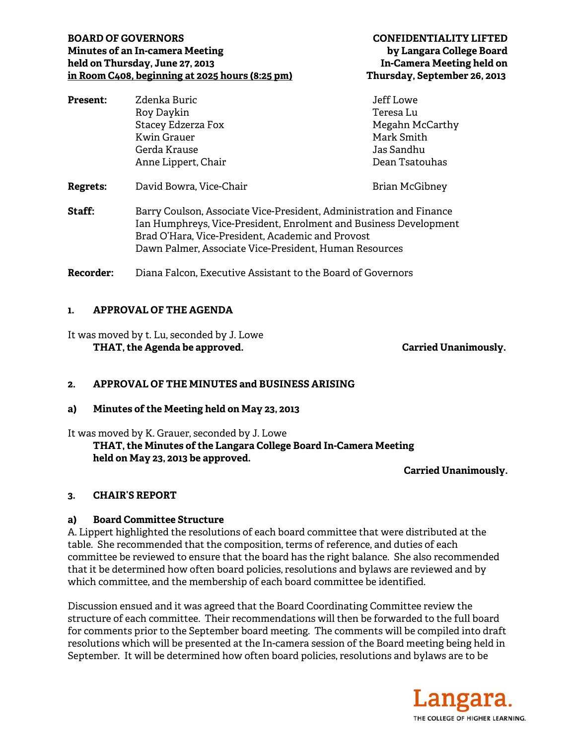### **BOARD OF GOVERNORS CONFIDENTIALITY LIFTED Minutes of an In-camera Meeting by Langara College Board held on Thursday, June 27, 2013 In-Camera Meeting held on in Room C408, beginning at 2025 hours (8:25 pm) Thursday, September 26, 2013**

| <b>Present:</b>  | Zdenka Buric                                                                                                                                                                                                                                            | Jeff Lowe             |
|------------------|---------------------------------------------------------------------------------------------------------------------------------------------------------------------------------------------------------------------------------------------------------|-----------------------|
|                  | Roy Daykin                                                                                                                                                                                                                                              | Teresa Lu             |
|                  | Stacey Edzerza Fox                                                                                                                                                                                                                                      | Megahn McCarthy       |
|                  | Kwin Grauer                                                                                                                                                                                                                                             | Mark Smith            |
|                  | Gerda Krause                                                                                                                                                                                                                                            | Jas Sandhu            |
|                  | Anne Lippert, Chair                                                                                                                                                                                                                                     | Dean Tsatouhas        |
| Regrets:         | David Bowra, Vice-Chair                                                                                                                                                                                                                                 | <b>Brian McGibney</b> |
| <b>Staff:</b>    | Barry Coulson, Associate Vice-President, Administration and Finance<br>Ian Humphreys, Vice-President, Enrolment and Business Development<br>Brad O'Hara, Vice-President, Academic and Provost<br>Dawn Palmer, Associate Vice-President, Human Resources |                       |
| <b>Recorder:</b> | Diana Falcon, Executive Assistant to the Board of Governors                                                                                                                                                                                             |                       |

## **1. APPROVAL OF THE AGENDA**

It was moved by t. Lu, seconded by J. Lowe  **THAT, the Agenda be approved. Carried Unanimously.** 

#### **2. APPROVAL OF THE MINUTES and BUSINESS ARISING**

**a) Minutes of the Meeting held on May 23, 2013** 

It was moved by K. Grauer, seconded by J. Lowe

# **THAT, the Minutes of the Langara College Board In-Camera Meeting held on May 23, 2013 be approved.**

**Carried Unanimously.** 

#### **3. CHAIR'S REPORT**

#### **a) Board Committee Structure**

A. Lippert highlighted the resolutions of each board committee that were distributed at the table. She recommended that the composition, terms of reference, and duties of each committee be reviewed to ensure that the board has the right balance. She also recommended that it be determined how often board policies, resolutions and bylaws are reviewed and by which committee, and the membership of each board committee be identified.

Discussion ensued and it was agreed that the Board Coordinating Committee review the structure of each committee. Their recommendations will then be forwarded to the full board for comments prior to the September board meeting. The comments will be compiled into draft resolutions which will be presented at the In-camera session of the Board meeting being held in September. It will be determined how often board policies, resolutions and bylaws are to be